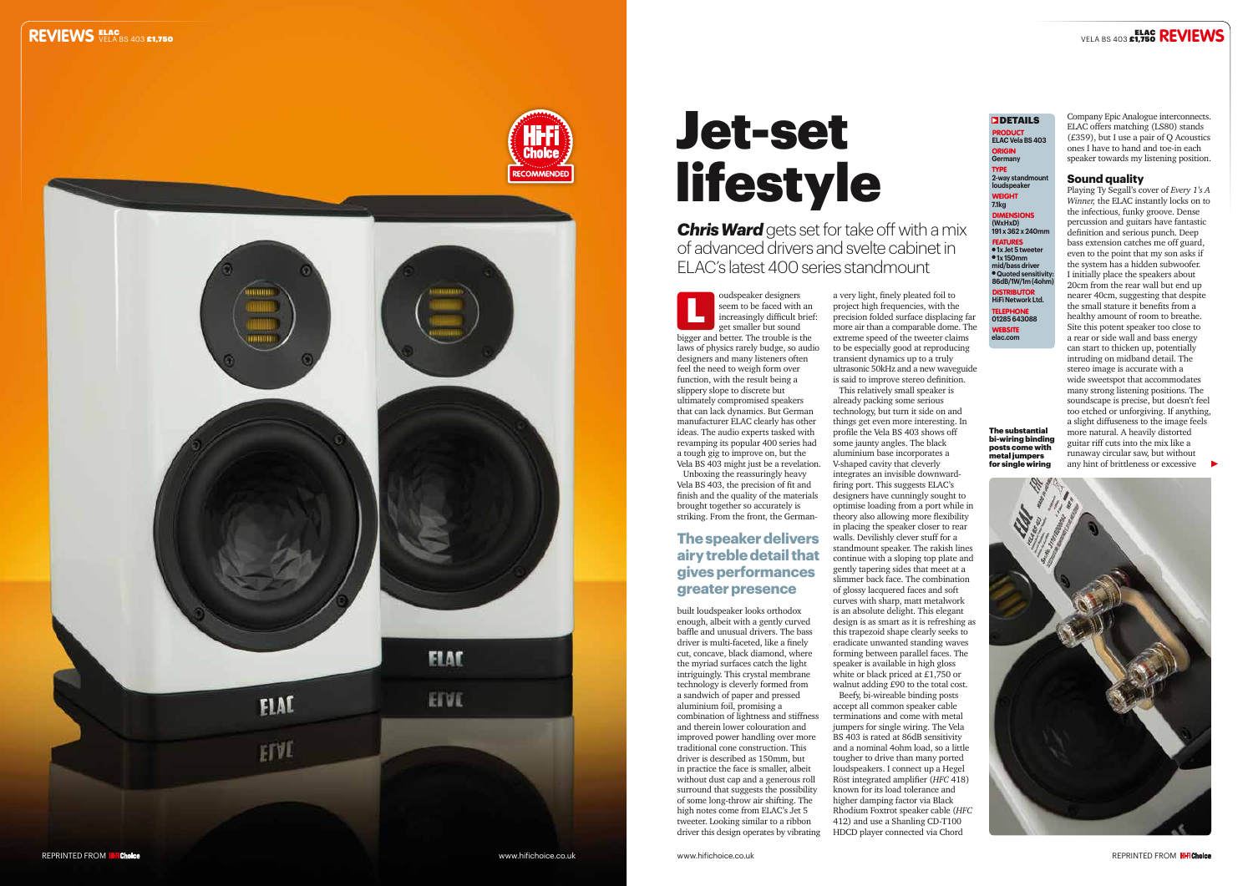



Unboxing the reassuringly heavy Vela BS 403, the precision of fit and finish and the quality of the materials brought together so accurately is striking. From the front, the German-

# Jet-set **lifestyle**

built loudspeaker looks orthodox enough, albeit with a gently curved baffle and unusual drivers. The bass driver is multi-faceted, like a finely cut, concave, black diamond, where the myriad surfaces catch the light intriguingly. This crystal membrane technology is cleverly formed from a sandwich of paper and pressed aluminium foil, promising a combination of lightness and stiffness and therein lower colouration and improved power handling over more traditional cone construction. This driver is described as 150mm, but in practice the face is smaller, albeit without dust cap and a generous roll surround that suggests the possibility of some long-throw air shifting. The high notes come from ELAC's Jet 5 tweeter. Looking similar to a ribbon driver this design operates by vibrating PRODUCT **ELAC Vela BS 403** ORIGIN **Germany** TYPE **2-way standmount loudspeaker** WEIGHT **7.1kg** DIMENSIONS **(WxHxD) 191 x 362 x 240mm FEATURES**<br>• 1x Jet 5 tweeter l **1x 150mm mid/bass driver** l **Quoted sensitivity: 86dB/1W/1m (4ohm)** DISTRIBUTOR **HiFi Network Ltd.** TELEPHONE **01285 643088**  WEBSITE

**elac.com** 

**DETAILS** 

*Chris Ward* gets set for take off with a mix of advanced drivers and svelte cabinet in ELAC's latest 400 series standmount

> a very light, finely pleated foil to project high frequencies, with the precision folded surface displacing far more air than a comparable dome. The extreme speed of the tweeter claims to be especially good at reproducing transient dynamics up to a truly ultrasonic 50kHz and a new waveguide is said to improve stereo definition. This relatively small speaker is

oudspeaker designers seem to be faced with an increasingly difficult brief: get smaller but sound bigger and better. The trouble is the laws of physics rarely budge, so audio designers and many listeners often feel the need to weigh form over function, with the result being a slippery slope to discrete but ultimately compromised speakers that can lack dynamics. But German manufacturer ELAC clearly has other ideas. The audio experts tasked with revamping its popular 400 series had a tough gig to improve on, but the Vela BS 403 might just be a revelation. L

already packing some serious technology, but turn it side on and things get even more interesting. In profile the Vela BS 403 shows off some jaunty angles. The black aluminium base incorporates a V-shaped cavity that cleverly integrates an invisible downwardfiring port. This suggests ELAC's designers have cunningly sought to optimise loading from a port while in theory also allowing more flexibility in placing the speaker closer to rear walls. Devilishly clever stuff for a standmount speaker. The rakish lines continue with a sloping top plate and gently tapering sides that meet at a slimmer back face. The combination of glossy lacquered faces and soft curves with sharp, matt metalwork is an absolute delight. This elegant design is as smart as it is refreshing as this trapezoid shape clearly seeks to eradicate unwanted standing waves forming between parallel faces. The speaker is available in high gloss white or black priced at £1,750 or walnut adding £90 to the total cost. Beefy, bi-wireable binding posts accept all common speaker cable terminations and come with metal jumpers for single wiring. The Vela BS 403 is rated at 86dB sensitivity and a nominal 4ohm load, so a little tougher to drive than many ported loudspeakers. I connect up a Hegel Röst integrated amplifier (*HFC* 418) known for its load tolerance and higher damping factor via Black Rhodium Foxtrot speaker cable (*HFC* 412) and use a Shanling CD-T100

HDCD player connected via Chord

# VELA BS 403 **£1,750 REVIEWS**

Company Epic Analogue interconnects. ELAC offers matching (LS80) stands  $(E359)$ , but I use a pair of Q Acoustics ones I have to hand and toe-in each speaker towards my listening position.

### **Sound quality**

Playing Ty Segall's cover of *Every 1's A Winner,* the ELAC instantly locks on to the infectious, funky groove. Dense percussion and guitars have fantastic definition and serious punch. Deep bass extension catches me off guard, even to the point that my son asks if the system has a hidden subwoofer. I initially place the speakers about 20cm from the rear wall but end up nearer 40cm, suggesting that despite the small stature it benefits from a healthy amount of room to breathe. Site this potent speaker too close to a rear or side wall and bass energy can start to thicken up, potentially intruding on midband detail. The stereo image is accurate with a wide sweetspot that accommodates many strong listening positions. The soundscape is precise, but doesn't feel too etched or unforgiving. If anything, a slight diffuseness to the image feels more natural. A heavily distorted guitar riff cuts into the mix like a runaway circular saw, but without any hint of brittleness or excessive



# **The speaker delivers airy treble detail that gives performances greater presence**

The substantial bi-wiring binding posts come with metal jumpers for single wiring